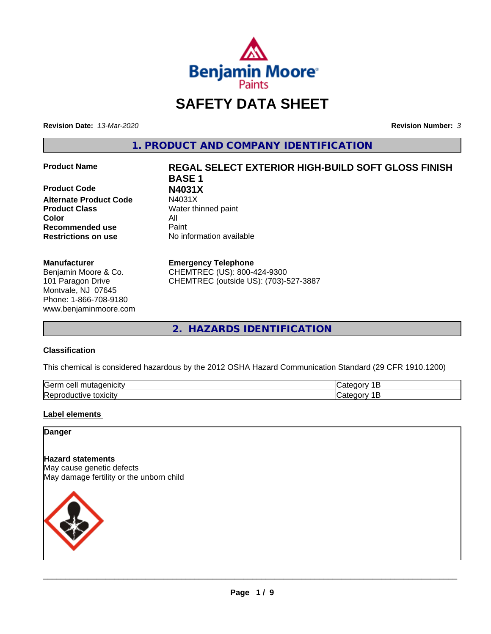

# **SAFETY DATA SHEET**

**Revision Date:** *13-Mar-2020* **Revision Number:** *3*

**1. PRODUCT AND COMPANY IDENTIFICATION**

**Product Code N4031X Alternate Product Code Product Class** Water thinned paint **Color** All **Recommended use** Paint **Restrictions on use** No information available

# **Manufacturer**

Benjamin Moore & Co. 101 Paragon Drive Montvale, NJ 07645 Phone: 1-866-708-9180 www.benjaminmoore.com

# **Product Name REGAL SELECT EXTERIOR HIGH-BUILD SOFT GLOSS FINISH BASE 1**

# **Emergency Telephone**

CHEMTREC (US): 800-424-9300 CHEMTREC (outside US): (703)-527-3887

**2. HAZARDS IDENTIFICATION**

# **Classification**

This chemical is considered hazardous by the 2012 OSHA Hazard Communication Standard (29 CFR 1910.1200)

| <b>Serr</b><br>---<br>$\cdot$          |  |
|----------------------------------------|--|
| <b>Re</b><br>*OXICItV<br>174<br>и<br>ш |  |

# **Label elements**

# **Danger**

**Hazard statements** May cause genetic defects May damage fertility or the unborn child

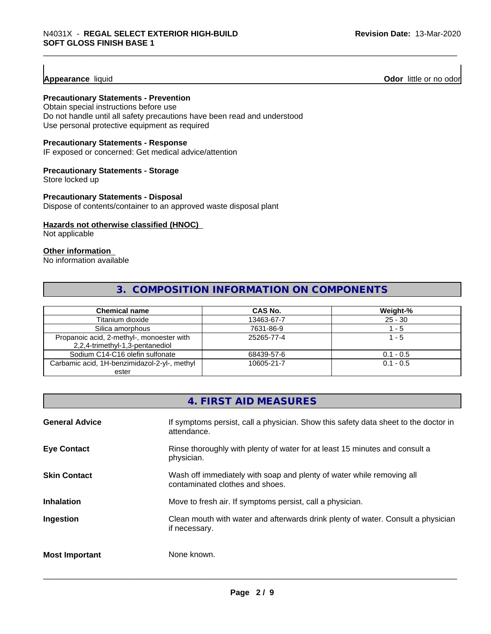**Appearance** liquid **Odor 11** Odor little or no odor

# **Precautionary Statements - Prevention**

Obtain special instructions before use Do not handle until all safety precautions have been read and understood Use personal protective equipment as required

# **Precautionary Statements - Response**

IF exposed or concerned: Get medical advice/attention

# **Precautionary Statements - Storage**

Store locked up

# **Precautionary Statements - Disposal**

Dispose of contents/container to an approved waste disposal plant

# **Hazards not otherwise classified (HNOC)**

Not applicable

# **Other information**

No information available

# **3. COMPOSITION INFORMATION ON COMPONENTS**

| <b>Chemical name</b>                         | CAS No.    | Weight-%    |
|----------------------------------------------|------------|-------------|
| Titanium dioxide                             | 13463-67-7 | $25 - 30$   |
| Silica amorphous                             | 7631-86-9  | - 5         |
| Propanoic acid, 2-methyl-, monoester with    | 25265-77-4 | 1 - 5       |
| 2,2,4-trimethyl-1,3-pentanediol              |            |             |
| Sodium C14-C16 olefin sulfonate              | 68439-57-6 | $0.1 - 0.5$ |
| Carbamic acid, 1H-benzimidazol-2-yl-, methyl | 10605-21-7 | $0.1 - 0.5$ |
| ester                                        |            |             |

# **4. FIRST AID MEASURES**

| <b>General Advice</b> | If symptoms persist, call a physician. Show this safety data sheet to the doctor in<br>attendance.       |
|-----------------------|----------------------------------------------------------------------------------------------------------|
| <b>Eye Contact</b>    | Rinse thoroughly with plenty of water for at least 15 minutes and consult a<br>physician.                |
| <b>Skin Contact</b>   | Wash off immediately with soap and plenty of water while removing all<br>contaminated clothes and shoes. |
| <b>Inhalation</b>     | Move to fresh air. If symptoms persist, call a physician.                                                |
| Ingestion             | Clean mouth with water and afterwards drink plenty of water. Consult a physician<br>if necessary.        |
| <b>Most Important</b> | None known.                                                                                              |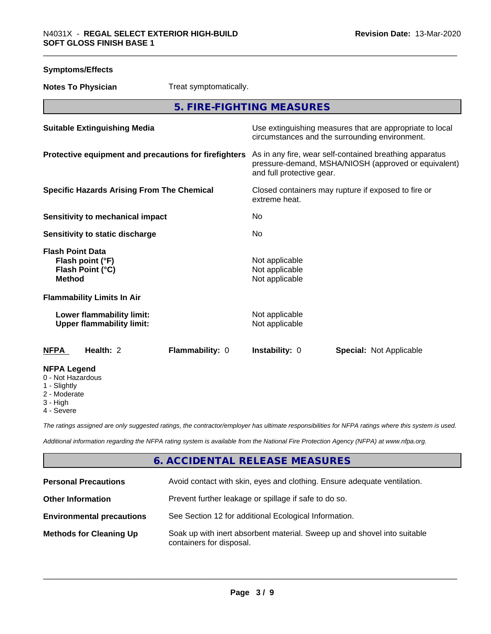| <b>Symptoms/Effects</b>                                                          |                                                                                                                                              |
|----------------------------------------------------------------------------------|----------------------------------------------------------------------------------------------------------------------------------------------|
| <b>Notes To Physician</b><br>Treat symptomatically.                              |                                                                                                                                              |
|                                                                                  | 5. FIRE-FIGHTING MEASURES                                                                                                                    |
| <b>Suitable Extinguishing Media</b>                                              | Use extinguishing measures that are appropriate to local<br>circumstances and the surrounding environment.                                   |
| Protective equipment and precautions for firefighters                            | As in any fire, wear self-contained breathing apparatus<br>pressure-demand, MSHA/NIOSH (approved or equivalent)<br>and full protective gear. |
| <b>Specific Hazards Arising From The Chemical</b>                                | Closed containers may rupture if exposed to fire or<br>extreme heat.                                                                         |
| <b>Sensitivity to mechanical impact</b>                                          | No                                                                                                                                           |
| Sensitivity to static discharge                                                  | No                                                                                                                                           |
| <b>Flash Point Data</b><br>Flash point (°F)<br>Flash Point (°C)<br><b>Method</b> | Not applicable<br>Not applicable<br>Not applicable                                                                                           |
| <b>Flammability Limits In Air</b>                                                |                                                                                                                                              |
| Lower flammability limit:<br><b>Upper flammability limit:</b>                    | Not applicable<br>Not applicable                                                                                                             |
| Health: 2<br>Flammability: 0<br><b>NFPA</b>                                      | Instability: 0<br><b>Special: Not Applicable</b>                                                                                             |
| <b>NFPA Legend</b><br>0 - Not Hazardous<br>1 - Slightly<br>2 - Moderate          |                                                                                                                                              |

3 - High

4 - Severe

*The ratings assigned are only suggested ratings, the contractor/employer has ultimate responsibilities for NFPA ratings where this system is used.*

*Additional information regarding the NFPA rating system is available from the National Fire Protection Agency (NFPA) at www.nfpa.org.*

# **6. ACCIDENTAL RELEASE MEASURES**

| <b>Personal Precautions</b>      | Avoid contact with skin, eyes and clothing. Ensure adequate ventilation.                             |
|----------------------------------|------------------------------------------------------------------------------------------------------|
| <b>Other Information</b>         | Prevent further leakage or spillage if safe to do so.                                                |
| <b>Environmental precautions</b> | See Section 12 for additional Ecological Information.                                                |
| <b>Methods for Cleaning Up</b>   | Soak up with inert absorbent material. Sweep up and shovel into suitable<br>containers for disposal. |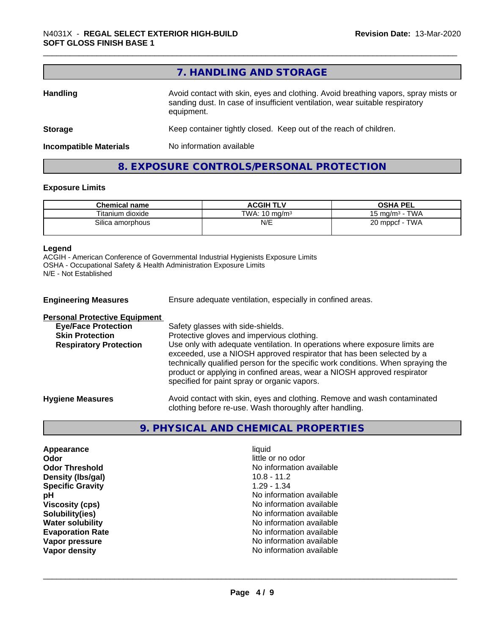|                               | 7. HANDLING AND STORAGE                                                                                                                                                          |
|-------------------------------|----------------------------------------------------------------------------------------------------------------------------------------------------------------------------------|
| <b>Handling</b>               | Avoid contact with skin, eyes and clothing. Avoid breathing vapors, spray mists or<br>sanding dust. In case of insufficient ventilation, wear suitable respiratory<br>equipment. |
| <b>Storage</b>                | Keep container tightly closed. Keep out of the reach of children.                                                                                                                |
| <b>Incompatible Materials</b> | No information available                                                                                                                                                         |

# **Exposure Limits**

|                                            | <b>Chemical name</b> | <b>ACGIH TLV</b>         | <b>OSHA PEL</b>                 |
|--------------------------------------------|----------------------|--------------------------|---------------------------------|
|                                            | Titanium dioxide     | TWA: $10 \text{ ma/m}^3$ | <b>TWA</b><br>15 mg/m $3 \cdot$ |
| N/E<br>TWA<br>Silica amorphous<br>20 mppcf |                      |                          |                                 |

**8. EXPOSURE CONTROLS/PERSONAL PROTECTION**

#### **Legend**

ACGIH - American Conference of Governmental Industrial Hygienists Exposure Limits OSHA - Occupational Safety & Health Administration Exposure Limits N/E - Not Established

| <b>Engineering Measures</b>          | Ensure adequate ventilation, especially in confined areas.                                                                                                                                                                                                                                                                                                          |  |
|--------------------------------------|---------------------------------------------------------------------------------------------------------------------------------------------------------------------------------------------------------------------------------------------------------------------------------------------------------------------------------------------------------------------|--|
| <b>Personal Protective Equipment</b> |                                                                                                                                                                                                                                                                                                                                                                     |  |
| <b>Eye/Face Protection</b>           | Safety glasses with side-shields.                                                                                                                                                                                                                                                                                                                                   |  |
| <b>Skin Protection</b>               | Protective gloves and impervious clothing.                                                                                                                                                                                                                                                                                                                          |  |
| <b>Respiratory Protection</b>        | Use only with adequate ventilation. In operations where exposure limits are<br>exceeded, use a NIOSH approved respirator that has been selected by a<br>technically qualified person for the specific work conditions. When spraying the<br>product or applying in confined areas, wear a NIOSH approved respirator<br>specified for paint spray or organic vapors. |  |
| <b>Hygiene Measures</b>              | Avoid contact with skin, eyes and clothing. Remove and wash contaminated<br>clothing before re-use. Wash thoroughly after handling.                                                                                                                                                                                                                                 |  |

# **9. PHYSICAL AND CHEMICAL PROPERTIES**

**Appearance** liquid **Odor** little or no odor **Density (Ibs/gal)** 10.8 - 11.2<br> **Specific Gravity** 1.29 - 1.34 **Specific Gravity** 

**Odor Threshold**<br> **Density (Ibs/gal)**<br> **Density (Ibs/gal)**<br> **No information available**<br>
10.8 - 11.2 **pH** No information available **Viscosity (cps)** No information available **Solubility(ies)** No information available **Water solubility Water solubility Water solubility Water solubility No information available Evaporation Rate No information available No information available Vapor pressure No information available Vapor density Vapor** density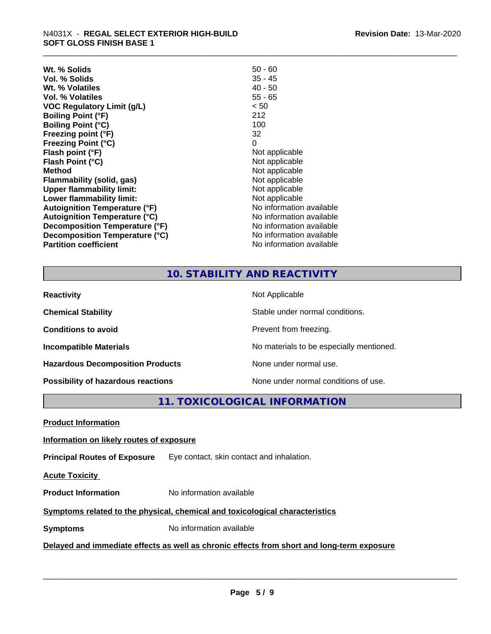| $50 - 60$                |
|--------------------------|
| $35 - 45$                |
| $40 - 50$                |
| $55 - 65$                |
| < 50                     |
| 212                      |
| 100                      |
| 32                       |
| 0                        |
| Not applicable           |
| Not applicable           |
| Not applicable           |
| Not applicable           |
| Not applicable           |
| Not applicable           |
| No information available |
| No information available |
| No information available |
| No information available |
| No information available |
|                          |

# **10. STABILITY AND REACTIVITY**

| <b>Reactivity</b>                       | Not Applicable                           |
|-----------------------------------------|------------------------------------------|
| <b>Chemical Stability</b>               | Stable under normal conditions.          |
| <b>Conditions to avoid</b>              | Prevent from freezing.                   |
| <b>Incompatible Materials</b>           | No materials to be especially mentioned. |
| <b>Hazardous Decomposition Products</b> | None under normal use.                   |
| Possibility of hazardous reactions      | None under normal conditions of use.     |

**11. TOXICOLOGICAL INFORMATION**

**Product Information**

# **Information on likely routes of exposure**

**Principal Routes of Exposure** Eye contact, skin contact and inhalation.

**Acute Toxicity** 

**Product Information** No information available

# **Symptoms** related to the physical, chemical and toxicological characteristics

**Symptoms** No information available

# **Delayed and immediate effects as well as chronic effects from short and long-term exposure**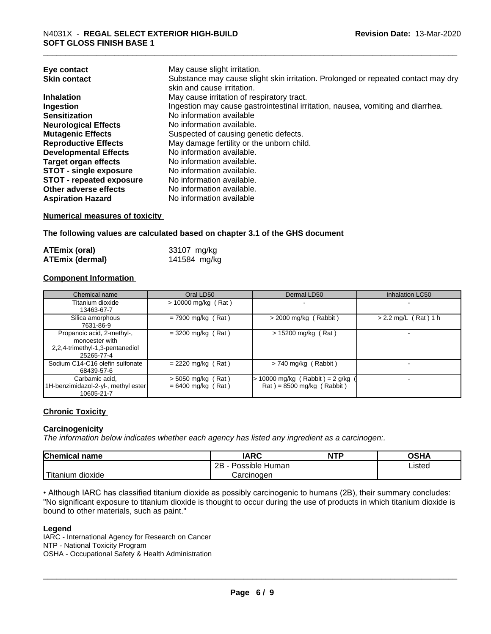| Eye contact                     | May cause slight irritation.                                                      |
|---------------------------------|-----------------------------------------------------------------------------------|
| <b>Skin contact</b>             | Substance may cause slight skin irritation. Prolonged or repeated contact may dry |
|                                 | skin and cause irritation.                                                        |
| <b>Inhalation</b>               | May cause irritation of respiratory tract.                                        |
| Ingestion                       | Ingestion may cause gastrointestinal irritation, nausea, vomiting and diarrhea.   |
| <b>Sensitization</b>            | No information available                                                          |
| <b>Neurological Effects</b>     | No information available.                                                         |
| <b>Mutagenic Effects</b>        | Suspected of causing genetic defects.                                             |
| <b>Reproductive Effects</b>     | May damage fertility or the unborn child.                                         |
| <b>Developmental Effects</b>    | No information available.                                                         |
| <b>Target organ effects</b>     | No information available.                                                         |
| <b>STOT - single exposure</b>   | No information available.                                                         |
| <b>STOT - repeated exposure</b> | No information available.                                                         |
| Other adverse effects           | No information available.                                                         |
| <b>Aspiration Hazard</b>        | No information available                                                          |

# **Numerical measures of toxicity**

**The following values are calculated based on chapter 3.1 of the GHS document**

| <b>ATEmix (oral)</b>   | 33107 mg/kg  |
|------------------------|--------------|
| <b>ATEmix (dermal)</b> | 141584 mg/kg |

# **Component Information**

| Chemical name                                                                                 | Oral LD50                                    | Dermal LD50                                                                          | Inhalation LC50        |
|-----------------------------------------------------------------------------------------------|----------------------------------------------|--------------------------------------------------------------------------------------|------------------------|
| Titanium dioxide<br>13463-67-7                                                                | $> 10000$ mg/kg (Rat)                        | $\overline{\phantom{a}}$                                                             |                        |
| Silica amorphous<br>7631-86-9                                                                 | $= 7900$ mg/kg (Rat)                         | $>$ 2000 mg/kg (Rabbit)                                                              | $> 2.2$ mg/L (Rat) 1 h |
| Propanoic acid, 2-methyl-,<br>monoester with<br>2,2,4-trimethyl-1,3-pentanediol<br>25265-77-4 | $=$ 3200 mg/kg (Rat)                         | $> 15200$ mg/kg (Rat)                                                                |                        |
| Sodium C14-C16 olefin sulfonate<br>68439-57-6                                                 | $= 2220$ mg/kg (Rat)                         | $> 740$ mg/kg (Rabbit)                                                               |                        |
| Carbamic acid,<br>1H-benzimidazol-2-yl-, methyl ester<br>10605-21-7                           | $>$ 5050 mg/kg (Rat)<br>$= 6400$ mg/kg (Rat) | $> 10000$ mg/kg (Rabbit) = 2 g/kg<br>$\text{Rat}$ ) = 8500 mg/kg ( $\text{Rabbit}$ ) |                        |

# **Chronic Toxicity**

# **Carcinogenicity**

*The information below indicateswhether each agency has listed any ingredient as a carcinogen:.*

| <b>Chemical</b><br>name           | <b>IARC</b>          | <b>NTP</b> | OSHA   |
|-----------------------------------|----------------------|------------|--------|
|                                   | Possible Human<br>2B |            | Listed |
| l mate<br><br>dioxide<br>⊺itanium | Carcinogen           |            |        |

• Although IARC has classified titanium dioxide as possibly carcinogenic to humans (2B), their summary concludes: "No significant exposure to titanium dioxide is thought to occur during the use of products in which titanium dioxide is bound to other materials, such as paint."

# **Legend**

IARC - International Agency for Research on Cancer NTP - National Toxicity Program OSHA - Occupational Safety & Health Administration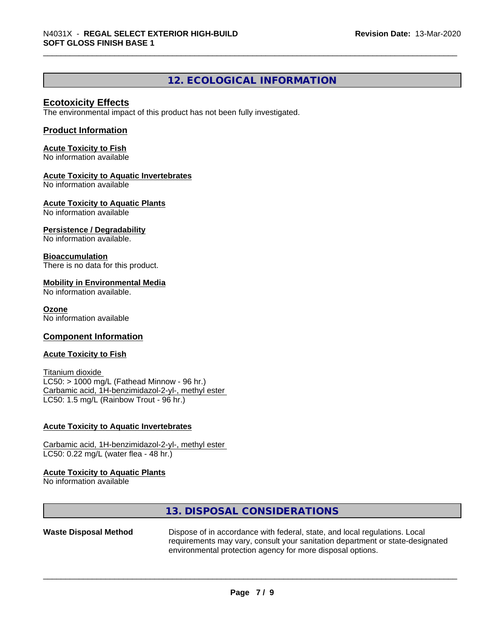# **12. ECOLOGICAL INFORMATION**

# **Ecotoxicity Effects**

The environmental impact of this product has not been fully investigated.

# **Product Information**

**Acute Toxicity to Fish** No information available

### **Acute Toxicity to Aquatic Invertebrates**

No information available

**Acute Toxicity to Aquatic Plants**

No information available

# **Persistence / Degradability**

No information available.

### **Bioaccumulation**

There is no data for this product.

### **Mobility in Environmental Media**

No information available.

# **Ozone**

No information available

# **Component Information**

### **Acute Toxicity to Fish**

Titanium dioxide  $LC50:$  > 1000 mg/L (Fathead Minnow - 96 hr.) Carbamic acid, 1H-benzimidazol-2-yl-, methyl ester LC50: 1.5 mg/L (Rainbow Trout - 96 hr.)

#### **Acute Toxicity to Aquatic Invertebrates**

Carbamic acid, 1H-benzimidazol-2-yl-, methyl ester LC50: 0.22 mg/L (water flea - 48 hr.)

#### **Acute Toxicity to Aquatic Plants**

No information available

# **13. DISPOSAL CONSIDERATIONS**

**Waste Disposal Method** Dispose of in accordance with federal, state, and local regulations. Local requirements may vary, consult your sanitation department or state-designated environmental protection agency for more disposal options.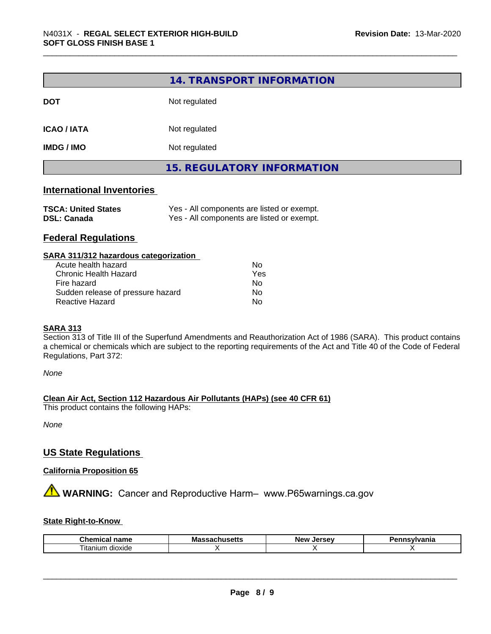|                           | 14. TRANSPORT INFORMATION         |  |
|---------------------------|-----------------------------------|--|
| <b>DOT</b>                | Not regulated                     |  |
| <b>ICAO / IATA</b>        | Not regulated                     |  |
| <b>IMDG / IMO</b>         | Not regulated                     |  |
|                           | <b>15. REGULATORY INFORMATION</b> |  |
| International Inventories |                                   |  |

# **International Inventories**

| <b>TSCA: United States</b> | Yes - All components are listed or exempt. |
|----------------------------|--------------------------------------------|
| <b>DSL: Canada</b>         | Yes - All components are listed or exempt. |

# **Federal Regulations**

| SARA 311/312 hazardous categorization |     |  |
|---------------------------------------|-----|--|
| Acute health hazard                   | Nο  |  |
| <b>Chronic Health Hazard</b>          | Yes |  |
| Fire hazard                           | Nο  |  |
| Sudden release of pressure hazard     | No  |  |
| Reactive Hazard                       | No  |  |

# **SARA 313**

Section 313 of Title III of the Superfund Amendments and Reauthorization Act of 1986 (SARA). This product contains a chemical or chemicals which are subject to the reporting requirements of the Act and Title 40 of the Code of Federal Regulations, Part 372:

*None*

**Clean Air Act,Section 112 Hazardous Air Pollutants (HAPs) (see 40 CFR 61)**

This product contains the following HAPs:

*None*

# **US State Regulations**

# **California Proposition 65**

**A** WARNING: Cancer and Reproductive Harm– www.P65warnings.ca.gov

# **State Right-to-Know**

| Chemical<br>name    | ''<br>massacnu<br>. | Jersev<br>New | <b>ivlvania</b><br>-- - |  |
|---------------------|---------------------|---------------|-------------------------|--|
| litanium<br>dioxide |                     |               |                         |  |